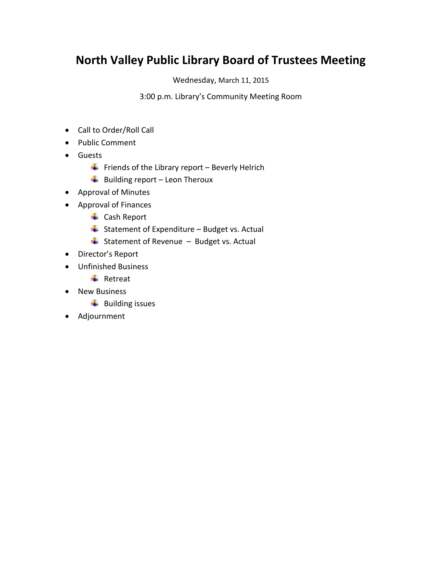## **North Valley Public Library Board of Trustees Meeting**

Wednesday, March 11, 2015

3:00 p.m. Library's Community Meeting Room

- Call to Order/Roll Call
- Public Comment
- **•** Guests
	- Friends of the Library report Beverly Helrich
	- $\overline{\phantom{a}}$  Building report Leon Theroux
- Approval of Minutes
- Approval of Finances
	- $\leftarrow$  Cash Report
	- $\overline{\phantom{a}}$  Statement of Expenditure Budget vs. Actual
	- $\overline{\phantom{a}}$  Statement of Revenue Budget vs. Actual
- Director's Report
- Unfinished Business
	- $\ddot{ }$  Retreat
- New Business
	- $\downarrow$  Building issues
- Adjournment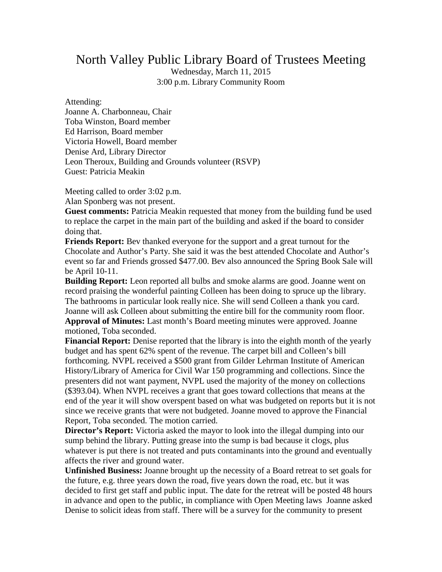## North Valley Public Library Board of Trustees Meeting

Wednesday, March 11, 2015 3:00 p.m. Library Community Room

Attending:

Joanne A. Charbonneau, Chair Toba Winston, Board member Ed Harrison, Board member Victoria Howell, Board member Denise Ard, Library Director Leon Theroux, Building and Grounds volunteer (RSVP) Guest: Patricia Meakin

Meeting called to order 3:02 p.m.

Alan Sponberg was not present.

Guest comments: Patricia Meakin requested that money from the building fund be used to replace the carpet in the main part of the building and asked if the board to consider doing that.

**Friends Report:** Bev thanked everyone for the support and a great turnout for the Chocolate and Author's Party. She said it was the best attended Chocolate and Author's event so far and Friends grossed \$477.00. Bev also announced the Spring Book Sale will be April 10-11.

**Building Report:** Leon reported all bulbs and smoke alarms are good. Joanne went on record praising the wonderful painting Colleen has been doing to spruce up the library. The bathrooms in particular look really nice. She will send Colleen a thank you card. Joanne will ask Colleen about submitting the entire bill for the community room floor. **Approval of Minutes:** Last month's Board meeting minutes were approved. Joanne motioned, Toba seconded.

**Financial Report:** Denise reported that the library is into the eighth month of the yearly budget and has spent 62% spent of the revenue. The carpet bill and Colleen's bill forthcoming. NVPL received a \$500 grant from Gilder Lehrman Institute of American History/Library of America for Civil War 150 programming and collections. Since the presenters did not want payment, NVPL used the majority of the money on collections (\$393.04). When NVPL receives a grant that goes toward collections that means at the end of the year it will show overspent based on what was budgeted on reports but it is not since we receive grants that were not budgeted. Joanne moved to approve the Financial Report, Toba seconded. The motion carried.

**Director's Report:** Victoria asked the mayor to look into the illegal dumping into our sump behind the library. Putting grease into the sump is bad because it clogs, plus whatever is put there is not treated and puts contaminants into the ground and eventually affects the river and ground water.

**Unfinished Business:** Joanne brought up the necessity of a Board retreat to set goals for the future, e.g. three years down the road, five years down the road, etc. but it was decided to first get staff and public input. The date for the retreat will be posted 48 hours in advance and open to the public, in compliance with Open Meeting laws Joanne asked Denise to solicit ideas from staff. There will be a survey for the community to present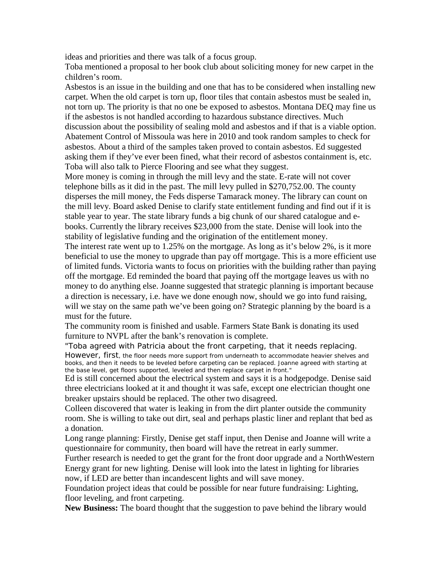ideas and priorities and there was talk of a focus group.

Toba mentioned a proposal to her book club about soliciting money for new carpet in the children's room.

Asbestos is an issue in the building and one that has to be considered when installing new carpet. When the old carpet is torn up, floor tiles that contain asbestos must be sealed in, not torn up. The priority is that no one be exposed to asbestos. Montana DEQ may fine us if the asbestos is not handled according to hazardous substance directives. Much discussion about the possibility of sealing mold and asbestos and if that is a viable option. Abatement Control of Missoula was here in 2010 and took random samples to check for asbestos. About a third of the samples taken proved to contain asbestos. Ed suggested asking them if they've ever been fined, what their record of asbestos containment is, etc. Toba will also talk to Pierce Flooring and see what they suggest.

More money is coming in through the mill levy and the state. E-rate will not cover telephone bills as it did in the past. The mill levy pulled in \$270,752.00. The county disperses the mill money, the Feds disperse Tamarack money. The library can count on the mill levy. Board asked Denise to clarify state entitlement funding and find out if it is stable year to year. The state library funds a big chunk of our shared catalogue and ebooks. Currently the library receives \$23,000 from the state. Denise will look into the stability of legislative funding and the origination of the entitlement money.

The interest rate went up to 1.25% on the mortgage. As long as it's below 2%, is it more beneficial to use the money to upgrade than pay off mortgage. This is a more efficient use of limited funds. Victoria wants to focus on priorities with the building rather than paying off the mortgage. Ed reminded the board that paying off the mortgage leaves us with no money to do anything else. Joanne suggested that strategic planning is important because a direction is necessary, i.e. have we done enough now, should we go into fund raising, will we stay on the same path we've been going on? Strategic planning by the board is a must for the future.

The community room is finished and usable. Farmers State Bank is donating its used furniture to NVPL after the bank's renovation is complete.

"Toba agreed with Patricia about the front carpeting, that it needs replacing. However, first, the floor needs more support from underneath to accommodate heavier shelves and books, and then it needs to be leveled before carpeting can be replaced. Joanne agreed with starting at the base level, get floors supported, leveled and then replace carpet in front."

Ed is still concerned about the electrical system and says it is a hodgepodge. Denise said three electricians looked at it and thought it was safe, except one electrician thought one breaker upstairs should be replaced. The other two disagreed.

Colleen discovered that water is leaking in from the dirt planter outside the community room. She is willing to take out dirt, seal and perhaps plastic liner and replant that bed as a donation.

Long range planning: Firstly, Denise get staff input, then Denise and Joanne will write a questionnaire for community, then board will have the retreat in early summer.

Further research is needed to get the grant for the front door upgrade and a NorthWestern Energy grant for new lighting. Denise will look into the latest in lighting for libraries

now, if LED are better than incandescent lights and will save money.

Foundation project ideas that could be possible for near future fundraising: Lighting, floor leveling, and front carpeting.

**New Business:** The board thought that the suggestion to pave behind the library would